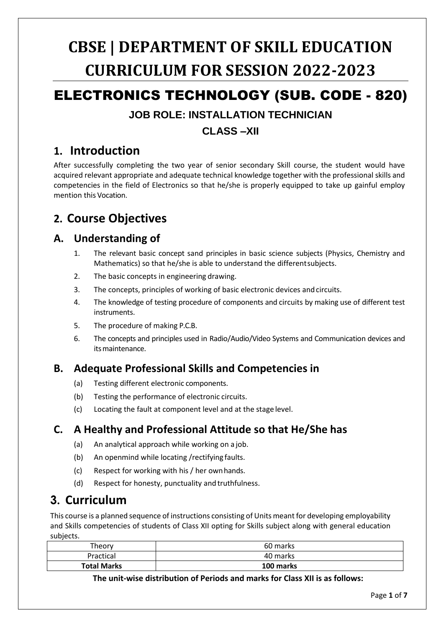# **CBSE | DEPARTMENT OF SKILL EDUCATION CURRICULUM FOR SESSION 2022-2023**

# ELECTRONICS TECHNOLOGY (SUB. CODE - 820)

### **JOB ROLE: INSTALLATION TECHNICIAN**

### **CLASS –XII**

### **1. Introduction**

After successfully completing the two year of senior secondary Skill course, the student would have acquired relevant appropriate and adequate technical knowledge together with the professional skills and competencies in the field of Electronics so that he/she is properly equipped to take up gainful employ mention this Vocation.

## **2. Course Objectives**

### **A. Understanding of**

- 1. The relevant basic concept sand principles in basic science subjects (Physics, Chemistry and Mathematics) so that he/she is able to understand the differentsubjects.
- 2. The basic concepts in engineering drawing.
- 3. The concepts, principles of working of basic electronic devices andcircuits.
- 4. The knowledge of testing procedure of components and circuits by making use of different test instruments.
- 5. The procedure of making P.C.B.
- 6. The concepts and principles used in Radio/Audio/Video Systems and Communication devices and itsmaintenance.

### **B. Adequate Professional Skills and Competencies in**

- (a) Testing different electronic components.
- (b) Testing the performance of electronic circuits.
- (c) Locating the fault at component level and at the stage level.

### **C. A Healthy and Professional Attitude so that He/She has**

- (a) An analytical approach while working on a job.
- (b) An openmind while locating /rectifying faults.
- (c) Respect for working with his / her ownhands.
- (d) Respect for honesty, punctuality and truthfulness.

## **3. Curriculum**

This course is a planned sequence of instructions consisting of Units meant for developing employability and Skills competencies of students of Class XII opting for Skills subject along with general education subjects.

| Theory             | 60 marks  |
|--------------------|-----------|
| Practical          | 40 marks  |
| <b>Total Marks</b> | 100 marks |

**The unit-wise distribution of Periods and marks for Class XII is as follows:**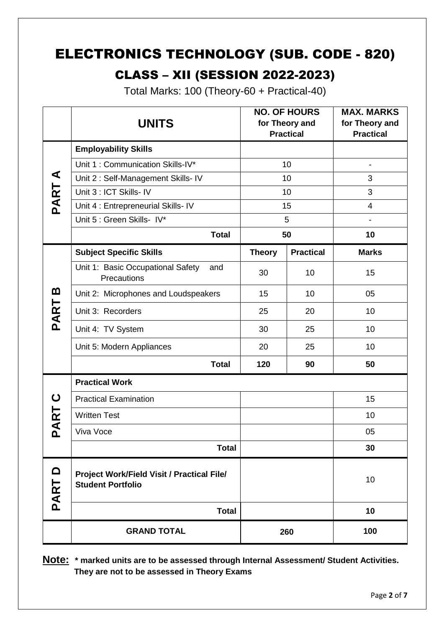# ELECTRONICS TECHNOLOGY (SUB. CODE - 820)

# CLASS – XII (SESSION 2022-2023)

Total Marks: 100 (Theory-60 + Practical-40)

|                  | <b>UNITS</b>                                                           | <b>NO. OF HOURS</b><br>for Theory and<br><b>Practical</b> |                  | <b>MAX. MARKS</b><br>for Theory and<br><b>Practical</b> |
|------------------|------------------------------------------------------------------------|-----------------------------------------------------------|------------------|---------------------------------------------------------|
| ⋖<br>PART        | <b>Employability Skills</b>                                            |                                                           |                  |                                                         |
|                  | Unit 1: Communication Skills-IV*                                       | 10                                                        |                  | $\qquad \qquad \blacksquare$                            |
|                  | Unit 2: Self-Management Skills- IV                                     | 10                                                        |                  | 3                                                       |
|                  | Unit 3 : ICT Skills- IV                                                | 10                                                        |                  | 3                                                       |
|                  | Unit 4 : Entrepreneurial Skills- IV                                    | 15                                                        |                  | $\overline{4}$                                          |
|                  | Unit 5 : Green Skills- IV*                                             | 5                                                         |                  |                                                         |
|                  | <b>Total</b>                                                           | 50                                                        |                  | 10                                                      |
|                  | <b>Subject Specific Skills</b>                                         | <b>Theory</b>                                             | <b>Practical</b> | <b>Marks</b>                                            |
| മ<br>PART        | Unit 1: Basic Occupational Safety<br>and<br>Precautions                | 30                                                        | 10               | 15                                                      |
|                  | Unit 2: Microphones and Loudspeakers                                   | 15                                                        | 10               | 05                                                      |
|                  | Unit 3: Recorders                                                      | 25                                                        | 20               | 10                                                      |
|                  | Unit 4: TV System                                                      | 30                                                        | 25               | 10                                                      |
|                  | Unit 5: Modern Appliances                                              | 20                                                        | 25               | 10                                                      |
|                  | <b>Total</b>                                                           | 120                                                       | 90               | 50                                                      |
| ပ<br>PART        | <b>Practical Work</b>                                                  |                                                           |                  |                                                         |
|                  | <b>Practical Examination</b>                                           |                                                           |                  | 15                                                      |
|                  | <b>Written Test</b>                                                    |                                                           |                  | 10                                                      |
|                  | Viva Voce                                                              |                                                           |                  | 05                                                      |
|                  | <b>Total</b>                                                           |                                                           |                  | 30                                                      |
| $\Omega$<br>PART | Project Work/Field Visit / Practical File/<br><b>Student Portfolio</b> |                                                           |                  | 10                                                      |
|                  | <b>Total</b>                                                           |                                                           |                  | 10                                                      |
|                  | <b>GRAND TOTAL</b>                                                     | 260                                                       |                  | 100                                                     |

**Note: \* marked units are to be assessed through Internal Assessment/ Student Activities. They are not to be assessed in Theory Exams**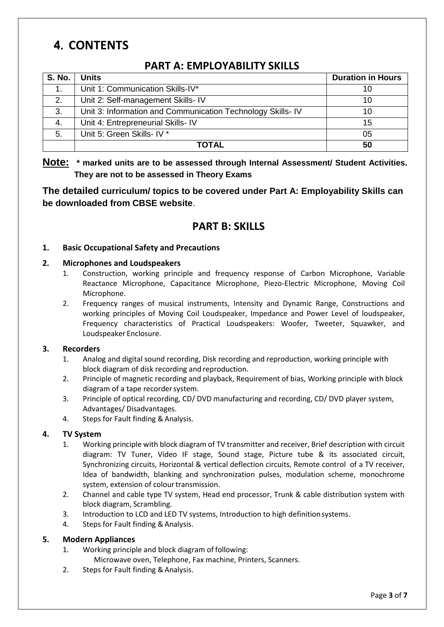# **4. CONTENTS**

### **PART A: EMPLOYABILITY SKILLS**

| <b>S. No.</b> | Units                                                       | <b>Duration in Hours</b> |
|---------------|-------------------------------------------------------------|--------------------------|
|               | Unit 1: Communication Skills-IV*                            | 10                       |
| 2.            | Unit 2: Self-management Skills- IV                          | 10                       |
| 3.            | Unit 3: Information and Communication Technology Skills- IV | 10                       |
| 4.            | Unit 4: Entrepreneurial Skills- IV                          | 15                       |
| 5.            | Unit 5: Green Skills- IV *                                  | 05                       |
|               | TOTAL                                                       | 50                       |

**Note: \* marked units are to be assessed through Internal Assessment/ Student Activities. They are not to be assessed in Theory Exams** 

#### **The detailed curriculum/ topics to be covered under Part A: Employability Skills can be downloaded from CBSE website**.

### **PART B: SKILLS**

#### **1. Basic Occupational Safety and Precautions**

#### **2. Microphones and Loudspeakers**

- 1. Construction, working principle and frequency response of Carbon Microphone, Variable Reactance Microphone, Capacitance Microphone, Piezo-Electric Microphone, Moving Coil Microphone.
- 2. Frequency ranges of musical instruments, Intensity and Dynamic Range, Constructions and working principles of Moving Coil Loudspeaker, Impedance and Power Level of loudspeaker, Frequency characteristics of Practical Loudspeakers: Woofer, Tweeter, Squawker, and Loudspeaker Enclosure.

#### **3. Recorders**

- 1. Analog and digital sound recording, Disk recording and reproduction, working principle with block diagram of disk recording and reproduction.
- 2. Principle of magnetic recording and playback, Requirement of bias, Working principle with block diagram of a tape recordersystem.
- 3. Principle of optical recording, CD/ DVD manufacturing and recording, CD/ DVD player system, Advantages/ Disadvantages.
- 4. Steps for Fault finding & Analysis.

#### **4. TV System**

- 1. Working principle with block diagram of TV transmitter and receiver, Brief description with circuit diagram: TV Tuner, Video IF stage, Sound stage, Picture tube & its associated circuit, Synchronizing circuits, Horizontal & vertical deflection circuits, Remote control of a TV receiver, Idea of bandwidth, blanking and synchronization pulses, modulation scheme, monochrome system, extension of colour transmission.
- 2. Channel and cable type TV system, Head end processor, Trunk & cable distribution system with block diagram, Scrambling.
- 3. Introduction to LCD and LED TV systems, Introduction to high definitionsystems.
- 4. Steps for Fault finding & Analysis.

#### **5. Modern Appliances**

- 1. Working principle and block diagram of following:
	- Microwave oven, Telephone, Fax machine, Printers, Scanners.
- 2. Steps for Fault finding & Analysis.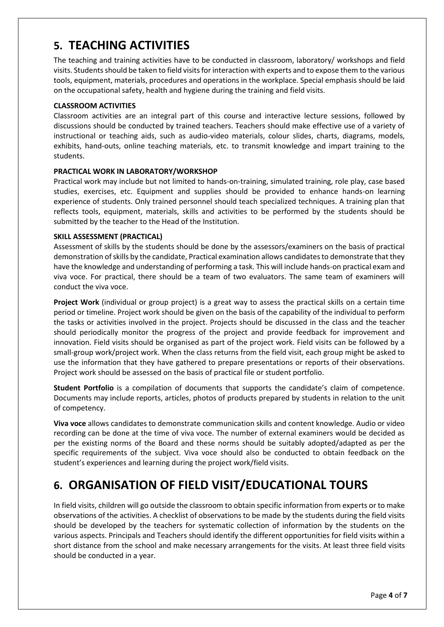## **5. TEACHING ACTIVITIES**

The teaching and training activities have to be conducted in classroom, laboratory/ workshops and field visits. Students should be taken to field visits for interaction with experts and to expose them to the various tools, equipment, materials, procedures and operations in the workplace. Special emphasis should be laid on the occupational safety, health and hygiene during the training and field visits.

#### **CLASSROOM ACTIVITIES**

Classroom activities are an integral part of this course and interactive lecture sessions, followed by discussions should be conducted by trained teachers. Teachers should make effective use of a variety of instructional or teaching aids, such as audio-video materials, colour slides, charts, diagrams, models, exhibits, hand-outs, online teaching materials, etc. to transmit knowledge and impart training to the students.

#### **PRACTICAL WORK IN LABORATORY/WORKSHOP**

Practical work may include but not limited to hands-on-training, simulated training, role play, case based studies, exercises, etc. Equipment and supplies should be provided to enhance hands-on learning experience of students. Only trained personnel should teach specialized techniques. A training plan that reflects tools, equipment, materials, skills and activities to be performed by the students should be submitted by the teacher to the Head of the Institution.

#### **SKILL ASSESSMENT (PRACTICAL)**

Assessment of skills by the students should be done by the assessors/examiners on the basis of practical demonstration of skills by the candidate, Practical examination allows candidates to demonstrate that they have the knowledge and understanding of performing a task. This will include hands-on practical exam and viva voce. For practical, there should be a team of two evaluators. The same team of examiners will conduct the viva voce.

**Project Work** (individual or group project) is a great way to assess the practical skills on a certain time period or timeline. Project work should be given on the basis of the capability of the individual to perform the tasks or activities involved in the project. Projects should be discussed in the class and the teacher should periodically monitor the progress of the project and provide feedback for improvement and innovation. Field visits should be organised as part of the project work. Field visits can be followed by a small-group work/project work. When the class returns from the field visit, each group might be asked to use the information that they have gathered to prepare presentations or reports of their observations. Project work should be assessed on the basis of practical file or student portfolio.

**Student Portfolio** is a compilation of documents that supports the candidate's claim of competence. Documents may include reports, articles, photos of products prepared by students in relation to the unit of competency.

**Viva voce** allows candidates to demonstrate communication skills and content knowledge. Audio or video recording can be done at the time of viva voce. The number of external examiners would be decided as per the existing norms of the Board and these norms should be suitably adopted/adapted as per the specific requirements of the subject. Viva voce should also be conducted to obtain feedback on the student's experiences and learning during the project work/field visits.

## **6. ORGANISATION OF FIELD VISIT/EDUCATIONAL TOURS**

In field visits, children will go outside the classroom to obtain specific information from experts or to make observations of the activities. A checklist of observations to be made by the students during the field visits should be developed by the teachers for systematic collection of information by the students on the various aspects. Principals and Teachers should identify the different opportunities for field visits within a short distance from the school and make necessary arrangements for the visits. At least three field visits should be conducted in a year.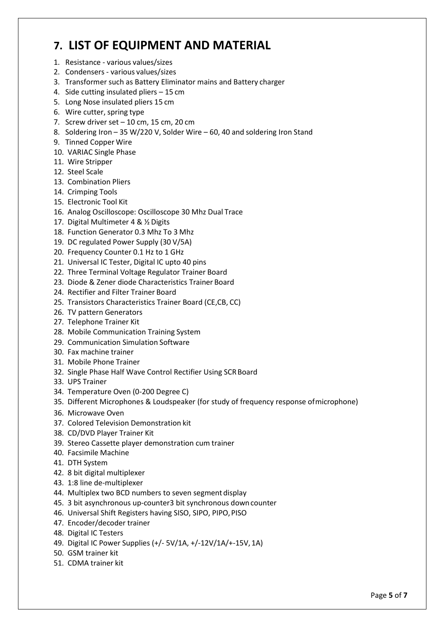# **7. LIST OF EQUIPMENT AND MATERIAL**

- 1. Resistance various values/sizes
- 2. Condensers various values/sizes
- 3. Transformer such as Battery Eliminator mains and Battery charger
- 4. Side cutting insulated pliers 15 cm
- 5. Long Nose insulated pliers 15 cm
- 6. Wire cutter, spring type
- 7. Screw driver set  $-10$  cm, 15 cm, 20 cm
- 8. Soldering Iron 35 W/220 V, Solder Wire 60, 40 and soldering Iron Stand
- 9. Tinned Copper Wire
- 10. VARIAC Single Phase
- 11. Wire Stripper
- 12. Steel Scale
- 13. Combination Pliers
- 14. Crimping Tools
- 15. Electronic Tool Kit
- 16. Analog Oscilloscope: Oscilloscope 30 Mhz Dual Trace
- 17. Digital Multimeter 4 & ½ Digits
- 18. Function Generator 0.3 Mhz To 3 Mhz
- 19. DC regulated Power Supply (30 V/5A)
- 20. Frequency Counter 0.1 Hz to 1 GHz
- 21. Universal IC Tester, Digital IC upto 40 pins
- 22. Three Terminal Voltage Regulator Trainer Board
- 23. Diode & Zener diode Characteristics Trainer Board
- 24. Rectifier and Filter Trainer Board
- 25. Transistors Characteristics Trainer Board (CE,CB, CC)
- 26. TV pattern Generators
- 27. Telephone Trainer Kit
- 28. Mobile Communication Training System
- 29. Communication Simulation Software
- 30. Fax machine trainer
- 31. Mobile Phone Trainer
- 32. Single Phase Half Wave Control Rectifier Using SCRBoard
- 33. UPS Trainer
- 34. Temperature Oven (0-200 Degree C)
- 35. Different Microphones & Loudspeaker (for study of frequency response ofmicrophone)
- 36. Microwave Oven
- 37. Colored Television Demonstration kit
- 38. CD/DVD Player Trainer Kit
- 39. Stereo Cassette player demonstration cum trainer
- 40. Facsimile Machine
- 41. DTH System
- 42. 8 bit digital multiplexer
- 43. 1:8 line de-multiplexer
- 44. Multiplex two BCD numbers to seven segment display
- 45. 3 bit asynchronous up-counter3 bit synchronous downcounter
- 46. Universal Shift Registers having SISO, SIPO, PIPO,PISO
- 47. Encoder/decoder trainer
- 48. Digital IC Testers
- 49. Digital IC Power Supplies (+/- 5V/1A, +/-12V/1A/+-15V, 1A)
- 50. GSM trainer kit
- 51. CDMA trainer kit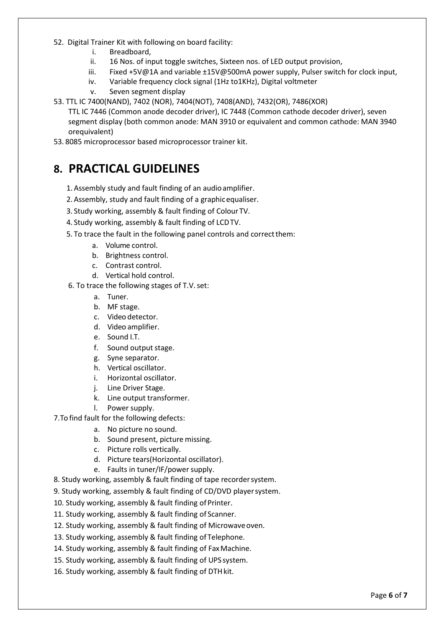- 52. Digital Trainer Kit with following on board facility:
	- i. Breadboard,
	- ii. 16 Nos. of input toggle switches, Sixteen nos. of LED output provision,
	- iii. Fixed +5V@1A and variable ±15V@500mA power supply, Pulser switch for clock input,
	- iv. Variable frequency clock signal (1Hz to1KHz), Digital voltmeter
	- v. Seven segment display
- 53. TTL IC 7400(NAND), 7402 (NOR), 7404(NOT), 7408(AND), 7432(OR), 7486(XOR)
	- TTL IC 7446 (Common anode decoder driver), IC 7448 (Common cathode decoder driver), seven segment display (both common anode: MAN 3910 or equivalent and common cathode: MAN 3940 orequivalent)
- 53. 8085 microprocessor based microprocessor trainer kit.

### **8. PRACTICAL GUIDELINES**

- 1. Assembly study and fault finding of an audioamplifier.
- 2. Assembly, study and fault finding of a graphicequaliser.
- 3. Study working, assembly & fault finding of ColourTV.
- 4. Study working, assembly & fault finding of LCDTV.
- 5. To trace the fault in the following panel controls and correctthem:
	- a. Volume control.
	- b. Brightness control.
	- c. Contrast control.
	- d. Vertical hold control.
- 6. To trace the following stages of T.V.set:
	- a. Tuner.
	- b. MF stage.
	- c. Video detector.
	- d. Video amplifier.
	- e. Sound I.T.
	- f. Sound output stage.
	- g. Syne separator.
	- h. Vertical oscillator.
	- i. Horizontal oscillator.
	- j. Line Driver Stage.
	- k. Line output transformer.
	- l. Power supply.
- 7.To find fault for the following defects:
	- a. No picture no sound.
	- b. Sound present, picture missing.
	- c. Picture rolls vertically.
	- d. Picture tears(Horizontal oscillator).
	- e. Faults in tuner/IF/power supply.
- 8. Study working, assembly & fault finding of tape recordersystem.
- 9. Study working, assembly & fault finding of CD/DVD playersystem.
- 10. Study working, assembly & fault finding of Printer.
- 11. Study working, assembly & fault finding of Scanner.
- 12. Study working, assembly & fault finding of Microwaveoven.
- 13. Study working, assembly & fault finding of Telephone.
- 14. Study working, assembly & fault finding of Fax Machine.
- 15. Study working, assembly & fault finding of UPS system.
- 16. Study working, assembly & fault finding of DTH kit.